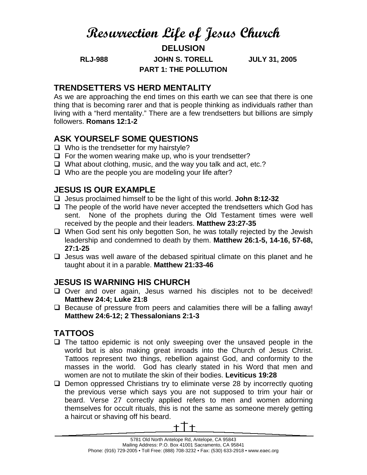# **Resurrection Life of Jesus Church**

**DELUSION** 

**RLJ-988 JOHN S. TORELL JULY 31, 2005 PART 1: THE POLLUTION** 

### **TRENDSETTERS VS HERD MENTALITY**

As we are approaching the end times on this earth we can see that there is one thing that is becoming rarer and that is people thinking as individuals rather than living with a "herd mentality." There are a few trendsetters but billions are simply followers. **Romans 12:1-2**

#### **ASK YOURSELF SOME QUESTIONS**

- $\Box$  Who is the trendsetter for my hairstyle?
- $\Box$  For the women wearing make up, who is your trendsetter?
- $\Box$  What about clothing, music, and the way you talk and act, etc.?
- $\Box$  Who are the people you are modeling your life after?

## **JESUS IS OUR EXAMPLE**

- Jesus proclaimed himself to be the light of this world. **John 8:12-32**
- $\Box$  The people of the world have never accepted the trendsetters which God has sent. None of the prophets during the Old Testament times were well received by the people and their leaders. **Matthew 23:27-35**
- $\Box$  When God sent his only begotten Son, he was totally rejected by the Jewish leadership and condemned to death by them. **Matthew 26:1-5, 14-16, 57-68, 27:1-25**
- $\Box$  Jesus was well aware of the debased spiritual climate on this planet and he taught about it in a parable. **Matthew 21:33-46**

## **JESUS IS WARNING HIS CHURCH**

- $\Box$  Over and over again, Jesus warned his disciples not to be deceived! **Matthew 24:4; Luke 21:8**
- $\Box$  Because of pressure from peers and calamities there will be a falling away! **Matthew 24:6-12; 2 Thessalonians 2:1-3**

# **TATTOOS**

- $\Box$  The tattoo epidemic is not only sweeping over the unsaved people in the world but is also making great inroads into the Church of Jesus Christ. Tattoos represent two things, rebellion against God, and conformity to the masses in the world. God has clearly stated in his Word that men and women are not to mutilate the skin of their bodies. **Leviticus 19:28**
- $\Box$  Demon oppressed Christians try to eliminate verse 28 by incorrectly quoting the previous verse which says you are not supposed to trim your hair or beard. Verse 27 correctly applied refers to men and women adorning themselves for occult rituals, this is not the same as someone merely getting a haircut or shaving off his beard.